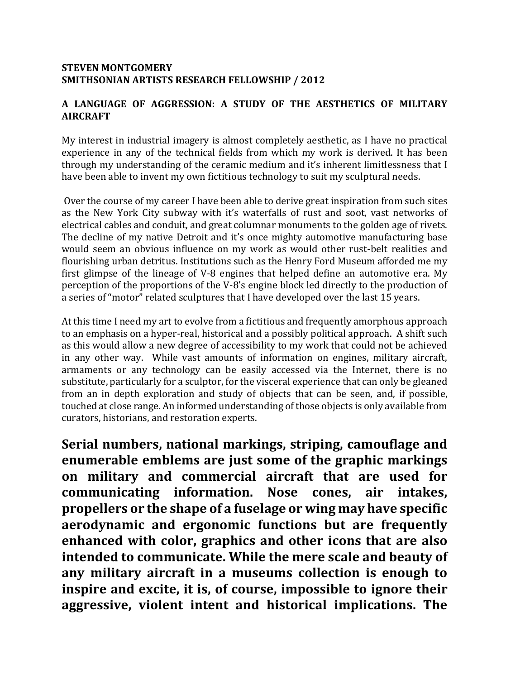### **STEVEN MONTGOMERY SMITHSONIAN ARTISTS RESEARCH FELLOWSHIP / 2012**

## **A LANGUAGE OF AGGRESSION: A STUDY OF THE AESTHETICS OF MILITARY AIRCRAFT**

My interest in industrial imagery is almost completely aesthetic, as I have no practical experience in any of the technical fields from which my work is derived. It has been through my understanding of the ceramic medium and it's inherent limitlessness that I have been able to invent my own fictitious technology to suit my sculptural needs.

Over the course of my career I have been able to derive great inspiration from such sites as the New York City subway with it's waterfalls of rust and soot, vast networks of electrical cables and conduit, and great columnar monuments to the golden age of rivets. The decline of my native Detroit and it's once mighty automotive manufacturing base would seem an obvious influence on my work as would other rust-belt realities and flourishing urban detritus. Institutions such as the Henry Ford Museum afforded me my first glimpse of the lineage of V-8 engines that helped define an automotive era. My perception of the proportions of the V-8's engine block led directly to the production of a series of "motor" related sculptures that I have developed over the last 15 years.

At this time I need my art to evolve from a fictitious and frequently amorphous approach to an emphasis on a hyper-real, historical and a possibly political approach. A shift such as this would allow a new degree of accessibility to my work that could not be achieved in any other way. While vast amounts of information on engines, military aircraft, armaments or any technology can be easily accessed via the Internet, there is no substitute, particularly for a sculptor, for the visceral experience that can only be gleaned from an in depth exploration and study of objects that can be seen, and, if possible, touched at close range. An informed understanding of those objects is only available from curators, historians, and restoration experts.

**Serial numbers, national markings, striping, camouflage and enumerable emblems are just some of the graphic markings on military and commercial aircraft that are used for communicating information. Nose cones, air intakes, propellers or the shape of a fuselage or wing may have specific aerodynamic and ergonomic functions but are frequently enhanced with color, graphics and other icons that are also intended to communicate. While the mere scale and beauty of any military aircraft in a museums collection is enough to inspire and excite, it is, of course, impossible to ignore their aggressive, violent intent and historical implications. The**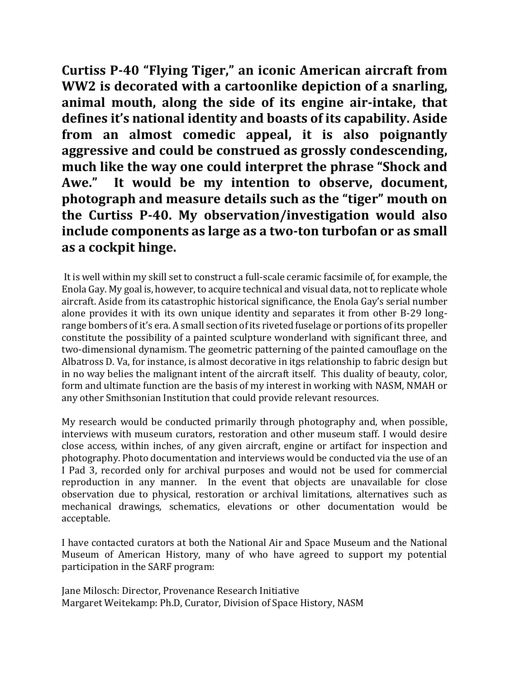**Curtiss P-40 "Flying Tiger," an iconic American aircraft from WW2 is decorated with a cartoonlike depiction of a snarling, animal mouth, along the side of its engine air-intake, that defines it's national identity and boasts of its capability. Aside from an almost comedic appeal, it is also poignantly aggressive and could be construed as grossly condescending, much like the way one could interpret the phrase "Shock and Awe." It would be my intention to observe, document, photograph and measure details such as the "tiger" mouth on the Curtiss P-40. My observation/investigation would also include components as large as a two-ton turbofan or as small as a cockpit hinge.** 

It is well within my skill set to construct a full-scale ceramic facsimile of, for example, the Enola Gay. My goal is, however, to acquire technical and visual data, not to replicate whole aircraft. Aside from its catastrophic historical significance, the Enola Gay's serial number alone provides it with its own unique identity and separates it from other B-29 longrange bombers of it's era. A small section of its riveted fuselage or portions of its propeller constitute the possibility of a painted sculpture wonderland with significant three, and two-dimensional dynamism. The geometric patterning of the painted camouflage on the Albatross D. Va, for instance, is almost decorative in itgs relationship to fabric design but in no way belies the malignant intent of the aircraft itself. This duality of beauty, color, form and ultimate function are the basis of my interest in working with NASM, NMAH or any other Smithsonian Institution that could provide relevant resources.

My research would be conducted primarily through photography and, when possible, interviews with museum curators, restoration and other museum staff. I would desire close access, within inches, of any given aircraft, engine or artifact for inspection and photography. Photo documentation and interviews would be conducted via the use of an I Pad 3, recorded only for archival purposes and would not be used for commercial reproduction in any manner. In the event that objects are unavailable for close observation due to physical, restoration or archival limitations, alternatives such as mechanical drawings, schematics, elevations or other documentation would be acceptable.

I have contacted curators at both the National Air and Space Museum and the National Museum of American History, many of who have agreed to support my potential participation in the SARF program:

Jane Milosch: Director, Provenance Research Initiative Margaret Weitekamp: Ph.D, Curator, Division of Space History, NASM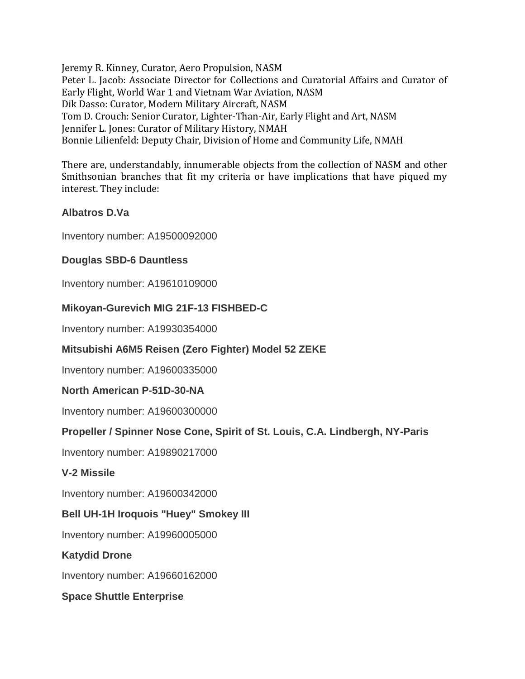Jeremy R. Kinney, Curator, Aero Propulsion, NASM Peter L. Jacob: Associate Director for Collections and Curatorial Affairs and Curator of Early Flight, World War 1 and Vietnam War Aviation, NASM Dik Dasso: Curator, Modern Military Aircraft, NASM Tom D. Crouch: Senior Curator, Lighter-Than-Air, Early Flight and Art, NASM Jennifer L. Jones: Curator of Military History, NMAH Bonnie Lilienfeld: Deputy Chair, Division of Home and Community Life, NMAH

There are, understandably, innumerable objects from the collection of NASM and other Smithsonian branches that fit my criteria or have implications that have piqued my interest. They include:

## **Albatros D.Va**

Inventory number: A19500092000

## **Douglas SBD-6 Dauntless**

Inventory number: A19610109000

### **Mikoyan-Gurevich MIG 21F-13 FISHBED-C**

Inventory number: A19930354000

### **Mitsubishi A6M5 Reisen (Zero Fighter) Model 52 ZEKE**

Inventory number: A19600335000

### **North American P-51D-30-NA**

Inventory number: A19600300000

### **Propeller / Spinner Nose Cone, Spirit of St. Louis, C.A. Lindbergh, NY-Paris**

Inventory number: A19890217000

### **V-2 Missile**

Inventory number: A19600342000

### **Bell UH-1H Iroquois "Huey" Smokey III**

Inventory number: A19960005000

### **Katydid Drone**

Inventory number: A19660162000

### **Space Shuttle Enterprise**